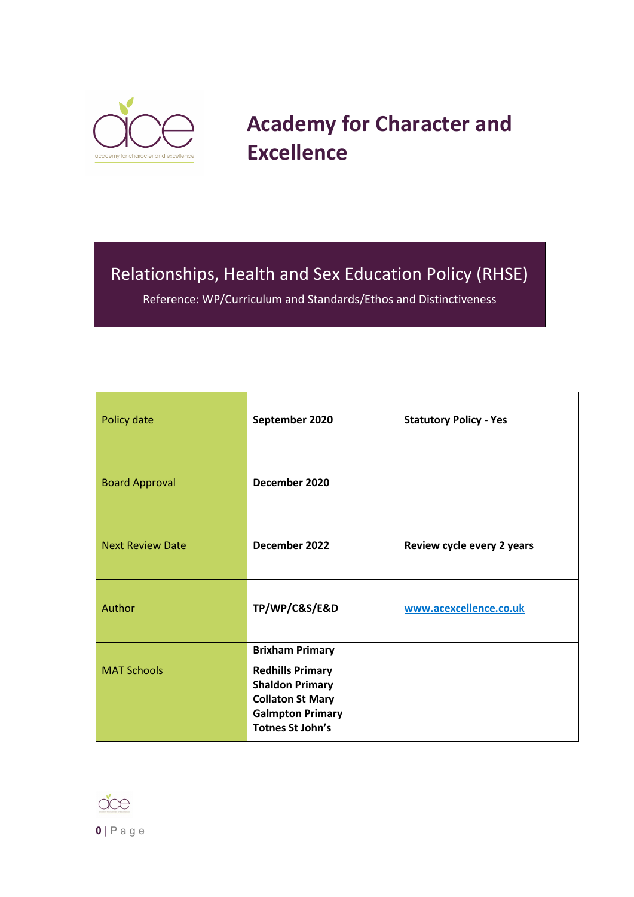

# **Academy for Character and Excellence**

## Relationships, Health and Sex Education Policy (RHSE)

Reference: WP/Curriculum and Standards/Ethos and Distinctiveness

| Policy date             | September 2020                                                                                                                                               | <b>Statutory Policy - Yes</b> |
|-------------------------|--------------------------------------------------------------------------------------------------------------------------------------------------------------|-------------------------------|
| <b>Board Approval</b>   | December 2020                                                                                                                                                |                               |
| <b>Next Review Date</b> | December 2022                                                                                                                                                | Review cycle every 2 years    |
| Author                  | TP/WP/C&S/E&D                                                                                                                                                | www.acexcellence.co.uk        |
| <b>MAT Schools</b>      | <b>Brixham Primary</b><br><b>Redhills Primary</b><br><b>Shaldon Primary</b><br><b>Collaton St Mary</b><br><b>Galmpton Primary</b><br><b>Totnes St John's</b> |                               |

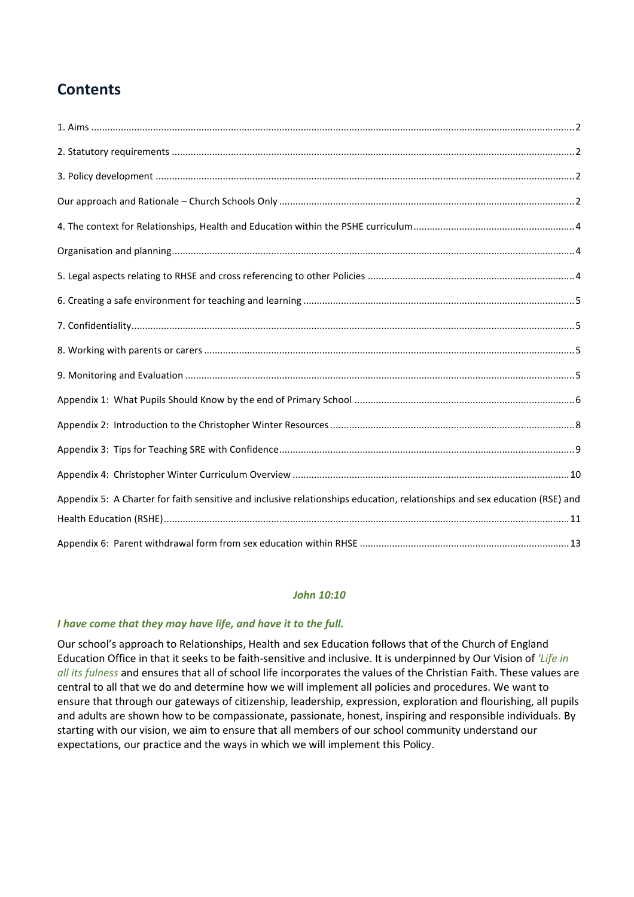## **Contents**

| Appendix 5: A Charter for faith sensitive and inclusive relationships education, relationships and sex education (RSE) and |  |
|----------------------------------------------------------------------------------------------------------------------------|--|
|                                                                                                                            |  |
|                                                                                                                            |  |

#### *John 10:10*

#### *I have come that they may have life, and have it to the full.*

Our school's approach to Relationships, Health and sex Education follows that of the Church of England Education Office in that it seeks to be faith-sensitive and inclusive. It is underpinned by Our Vision of *'Life in all its fulness* and ensures that all of school life incorporates the values of the Christian Faith. These values are central to all that we do and determine how we will implement all policies and procedures. We want to ensure that through our gateways of citizenship, leadership, expression, exploration and flourishing, all pupils and adults are shown how to be compassionate, passionate, honest, inspiring and responsible individuals. By starting with our vision, we aim to ensure that all members of our school community understand our expectations, our practice and the ways in which we will implement this Policy.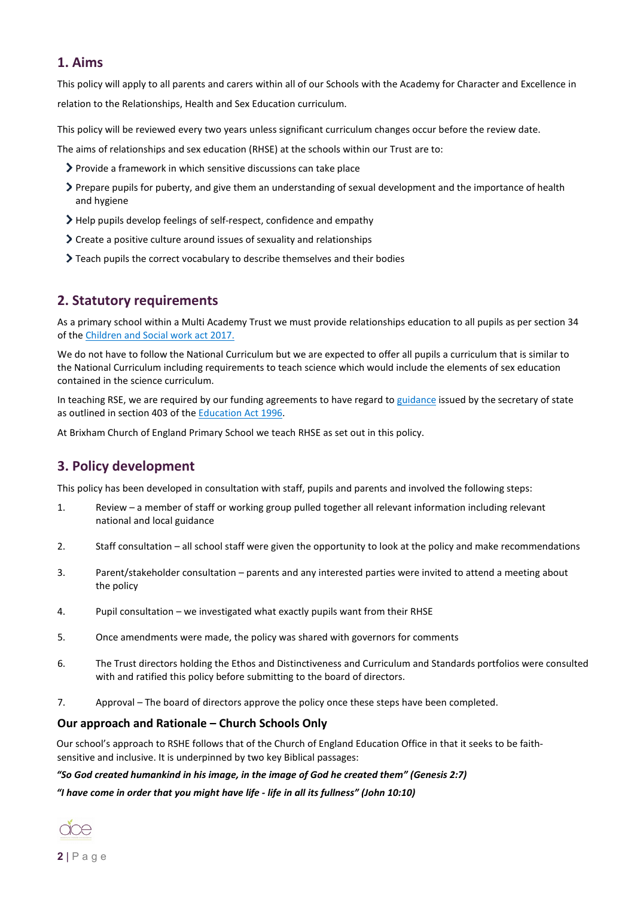#### <span id="page-2-0"></span>**1. Aims**

This policy will apply to all parents and carers within all of our Schools with the Academy for Character and Excellence in relation to the Relationships, Health and Sex Education curriculum.

This policy will be reviewed every two years unless significant curriculum changes occur before the review date.

The aims of relationships and sex education (RHSE) at the schools within our Trust are to:

- Provide a framework in which sensitive discussions can take place
- Prepare pupils for puberty, and give them an understanding of sexual development and the importance of health and hygiene
- Help pupils develop feelings of self-respect, confidence and empathy
- Create a positive culture around issues of sexuality and relationships
- Teach pupils the correct vocabulary to describe themselves and their bodies

### <span id="page-2-1"></span>**2. Statutory requirements**

As a primary school within a Multi Academy Trust we must provide relationships education to all pupils as per section 34 of th[e Children and Social work act 2017.](http://www.legislation.gov.uk/ukpga/2017/16/section/34/enacted)

We do not have to follow the National Curriculum but we are expected to offer all pupils a curriculum that is similar to the National Curriculum including requirements to teach science which would include the elements of sex education contained in the science curriculum.

In teaching RSE, we are required by our funding agreements to have regard t[o guidance](https://www.gov.uk/government/consultations/relationships-and-sex-education-and-health-education) issued by the secretary of state as outlined in section 403 of th[e Education Act 1996.](http://www.legislation.gov.uk/ukpga/1996/56/contents)

At Brixham Church of England Primary School we teach RHSE as set out in this policy.

### <span id="page-2-2"></span>**3. Policy development**

This policy has been developed in consultation with staff, pupils and parents and involved the following steps:

- 1. Review a member of staff or working group pulled together all relevant information including relevant national and local guidance
- 2. Staff consultation all school staff were given the opportunity to look at the policy and make recommendations
- 3. Parent/stakeholder consultation parents and any interested parties were invited to attend a meeting about the policy
- 4. Pupil consultation we investigated what exactly pupils want from their RHSE
- 5. Once amendments were made, the policy was shared with governors for comments
- 6. The Trust directors holding the Ethos and Distinctiveness and Curriculum and Standards portfolios were consulted with and ratified this policy before submitting to the board of directors.
- 7. Approval The board of directors approve the policy once these steps have been completed.

#### <span id="page-2-3"></span>**Our approach and Rationale – Church Schools Only**

Our school's approach to RSHE follows that of the Church of England Education Office in that it seeks to be faithsensitive and inclusive. It is underpinned by two key Biblical passages:

#### *"So God created humankind in his image, in the image of God he created them" (Genesis 2:7)*

*"I have come in order that you might have life - life in all its fullness" (John 10:10)*

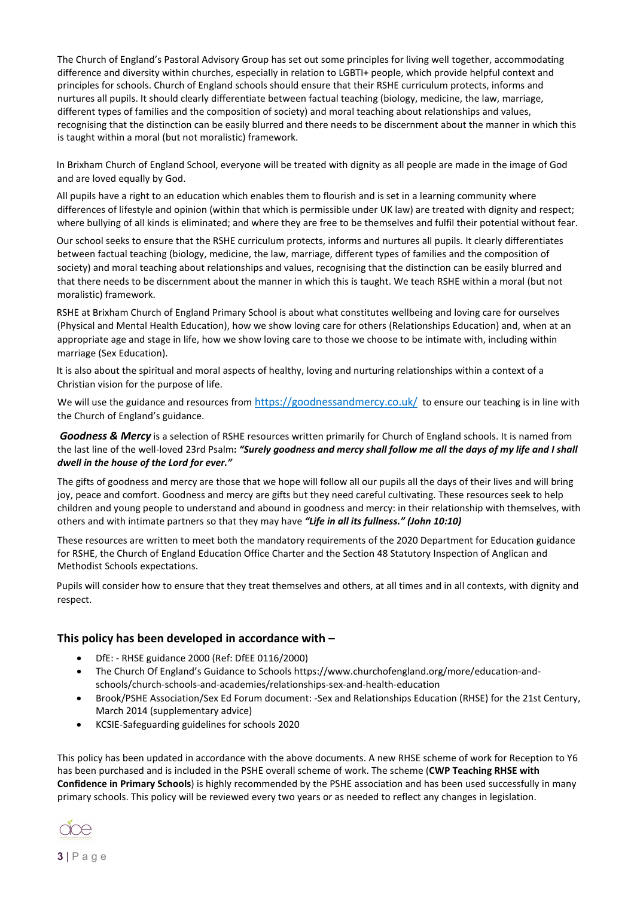The Church of England's Pastoral Advisory Group has set out some principles for living well together, accommodating difference and diversity within churches, especially in relation to LGBTI+ people, which provide helpful context and principles for schools. Church of England schools should ensure that their RSHE curriculum protects, informs and nurtures all pupils. It should clearly differentiate between factual teaching (biology, medicine, the law, marriage, different types of families and the composition of society) and moral teaching about relationships and values, recognising that the distinction can be easily blurred and there needs to be discernment about the manner in which this is taught within a moral (but not moralistic) framework.

In Brixham Church of England School, everyone will be treated with dignity as all people are made in the image of God and are loved equally by God.

All pupils have a right to an education which enables them to flourish and is set in a learning community where differences of lifestyle and opinion (within that which is permissible under UK law) are treated with dignity and respect; where bullying of all kinds is eliminated; and where they are free to be themselves and fulfil their potential without fear.

Our school seeks to ensure that the RSHE curriculum protects, informs and nurtures all pupils. It clearly differentiates between factual teaching (biology, medicine, the law, marriage, different types of families and the composition of society) and moral teaching about relationships and values, recognising that the distinction can be easily blurred and that there needs to be discernment about the manner in which this is taught. We teach RSHE within a moral (but not moralistic) framework.

RSHE at Brixham Church of England Primary School is about what constitutes wellbeing and loving care for ourselves (Physical and Mental Health Education), how we show loving care for others (Relationships Education) and, when at an appropriate age and stage in life, how we show loving care to those we choose to be intimate with, including within marriage (Sex Education).

It is also about the spiritual and moral aspects of healthy, loving and nurturing relationships within a context of a Christian vision for the purpose of life.

We will use the guidance and resources from <https://goodnessandmercy.co.uk/>to ensure our teaching is in line with the Church of England's guidance.

*Goodness & Mercy* is a selection of RSHE resources written primarily for Church of England schools. It is named from the last line of the well-loved 23rd Psalm**:** *"Surely goodness and mercy shall follow me all the days of my life and I shall dwell in the house of the Lord for ever."*

The gifts of goodness and mercy are those that we hope will follow all our pupils all the days of their lives and will bring joy, peace and comfort. Goodness and mercy are gifts but they need careful cultivating. These resources seek to help children and young people to understand and abound in goodness and mercy: in their relationship with themselves, with others and with intimate partners so that they may have *"Life in all its fullness." (John 10:10)*

These resources are written to meet both the mandatory requirements of the 2020 Department for Education guidance for RSHE, the Church of England Education Office Charter and the Section 48 Statutory Inspection of Anglican and Methodist Schools expectations.

Pupils will consider how to ensure that they treat themselves and others, at all times and in all contexts, with dignity and respect.

#### **This policy has been developed in accordance with –**

- DfE: RHSE guidance 2000 (Ref: DfEE 0116/2000)
- The Church Of England's Guidance to Schools https://www.churchofengland.org/more/education-andschools/church-schools-and-academies/relationships-sex-and-health-education
- Brook/PSHE Association/Sex Ed Forum document: -Sex and Relationships Education (RHSE) for the 21st Century, March 2014 (supplementary advice)
- KCSIE-Safeguarding guidelines for schools 2020

This policy has been updated in accordance with the above documents. A new RHSE scheme of work for Reception to Y6 has been purchased and is included in the PSHE overall scheme of work. The scheme (**CWP Teaching RHSE with Confidence in Primary Schools**) is highly recommended by the PSHE association and has been used successfully in many primary schools. This policy will be reviewed every two years or as needed to reflect any changes in legislation.

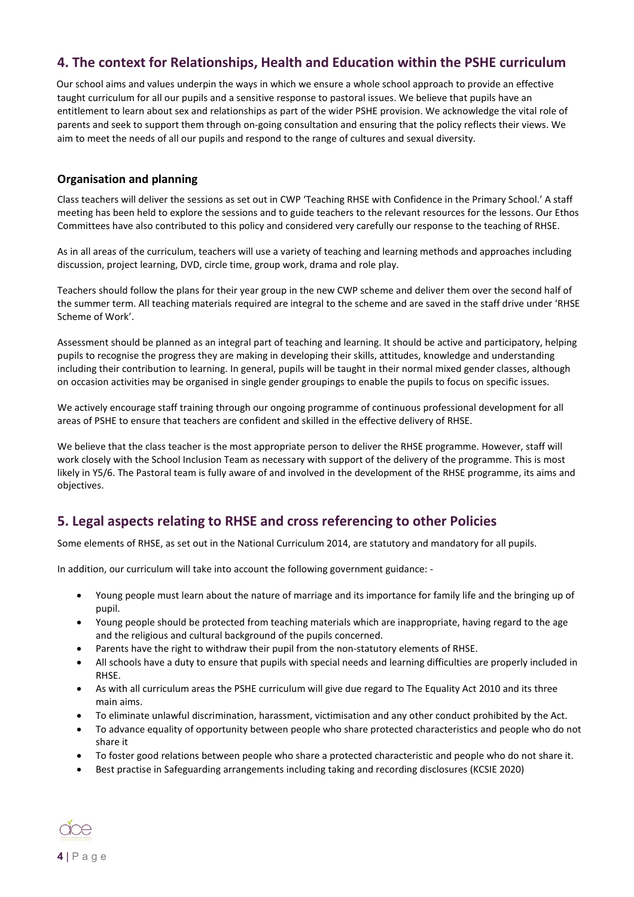### <span id="page-4-0"></span>**4. The context for Relationships, Health and Education within the PSHE curriculum**

Our school aims and values underpin the ways in which we ensure a whole school approach to provide an effective taught curriculum for all our pupils and a sensitive response to pastoral issues. We believe that pupils have an entitlement to learn about sex and relationships as part of the wider PSHE provision. We acknowledge the vital role of parents and seek to support them through on-going consultation and ensuring that the policy reflects their views. We aim to meet the needs of all our pupils and respond to the range of cultures and sexual diversity.

#### <span id="page-4-1"></span>**Organisation and planning**

Class teachers will deliver the sessions as set out in CWP 'Teaching RHSE with Confidence in the Primary School.' A staff meeting has been held to explore the sessions and to guide teachers to the relevant resources for the lessons. Our Ethos Committees have also contributed to this policy and considered very carefully our response to the teaching of RHSE.

As in all areas of the curriculum, teachers will use a variety of teaching and learning methods and approaches including discussion, project learning, DVD, circle time, group work, drama and role play.

Teachers should follow the plans for their year group in the new CWP scheme and deliver them over the second half of the summer term. All teaching materials required are integral to the scheme and are saved in the staff drive under 'RHSE Scheme of Work'.

Assessment should be planned as an integral part of teaching and learning. It should be active and participatory, helping pupils to recognise the progress they are making in developing their skills, attitudes, knowledge and understanding including their contribution to learning. In general, pupils will be taught in their normal mixed gender classes, although on occasion activities may be organised in single gender groupings to enable the pupils to focus on specific issues.

We actively encourage staff training through our ongoing programme of continuous professional development for all areas of PSHE to ensure that teachers are confident and skilled in the effective delivery of RHSE.

We believe that the class teacher is the most appropriate person to deliver the RHSE programme. However, staff will work closely with the School Inclusion Team as necessary with support of the delivery of the programme. This is most likely in Y5/6. The Pastoral team is fully aware of and involved in the development of the RHSE programme, its aims and objectives.

### <span id="page-4-2"></span>**5. Legal aspects relating to RHSE and cross referencing to other Policies**

Some elements of RHSE, as set out in the National Curriculum 2014, are statutory and mandatory for all pupils.

In addition, our curriculum will take into account the following government guidance: -

- Young people must learn about the nature of marriage and its importance for family life and the bringing up of pupil.
- Young people should be protected from teaching materials which are inappropriate, having regard to the age and the religious and cultural background of the pupils concerned.
- Parents have the right to withdraw their pupil from the non-statutory elements of RHSE.
- All schools have a duty to ensure that pupils with special needs and learning difficulties are properly included in RHSE.
- As with all curriculum areas the PSHE curriculum will give due regard to The Equality Act 2010 and its three main aims.
- To eliminate unlawful discrimination, harassment, victimisation and any other conduct prohibited by the Act.
- To advance equality of opportunity between people who share protected characteristics and people who do not share it
- To foster good relations between people who share a protected characteristic and people who do not share it.
- Best practise in Safeguarding arrangements including taking and recording disclosures (KCSIE 2020)

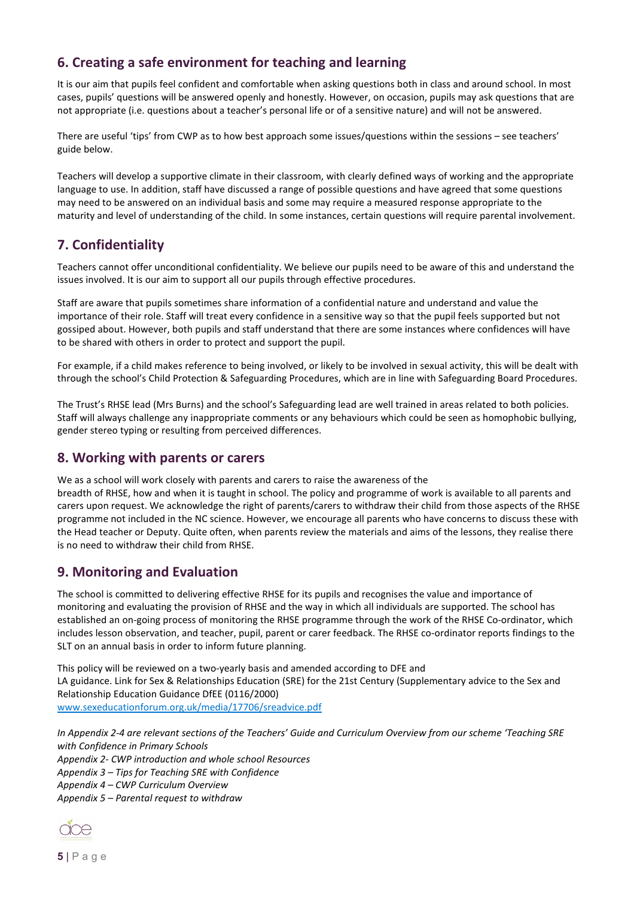### <span id="page-5-0"></span>**6. Creating a safe environment for teaching and learning**

It is our aim that pupils feel confident and comfortable when asking questions both in class and around school. In most cases, pupils' questions will be answered openly and honestly. However, on occasion, pupils may ask questions that are not appropriate (i.e. questions about a teacher's personal life or of a sensitive nature) and will not be answered.

There are useful 'tips' from CWP as to how best approach some issues/questions within the sessions – see teachers' guide below.

Teachers will develop a supportive climate in their classroom, with clearly defined ways of working and the appropriate language to use. In addition, staff have discussed a range of possible questions and have agreed that some questions may need to be answered on an individual basis and some may require a measured response appropriate to the maturity and level of understanding of the child. In some instances, certain questions will require parental involvement.

### <span id="page-5-1"></span>**7. Confidentiality**

Teachers cannot offer unconditional confidentiality. We believe our pupils need to be aware of this and understand the issues involved. It is our aim to support all our pupils through effective procedures.

Staff are aware that pupils sometimes share information of a confidential nature and understand and value the importance of their role. Staff will treat every confidence in a sensitive way so that the pupil feels supported but not gossiped about. However, both pupils and staff understand that there are some instances where confidences will have to be shared with others in order to protect and support the pupil.

For example, if a child makes reference to being involved, or likely to be involved in sexual activity, this will be dealt with through the school's Child Protection & Safeguarding Procedures, which are in line with Safeguarding Board Procedures.

The Trust's RHSE lead (Mrs Burns) and the school's Safeguarding lead are well trained in areas related to both policies. Staff will always challenge any inappropriate comments or any behaviours which could be seen as homophobic bullying, gender stereo typing or resulting from perceived differences.

### <span id="page-5-2"></span>**8. Working with parents or carers**

We as a school will work closely with parents and carers to raise the awareness of the

breadth of RHSE, how and when it is taught in school. The policy and programme of work is available to all parents and carers upon request. We acknowledge the right of parents/carers to withdraw their child from those aspects of the RHSE programme not included in the NC science. However, we encourage all parents who have concerns to discuss these with the Head teacher or Deputy. Quite often, when parents review the materials and aims of the lessons, they realise there is no need to withdraw their child from RHSE.

### <span id="page-5-3"></span>**9. Monitoring and Evaluation**

The school is committed to delivering effective RHSE for its pupils and recognises the value and importance of monitoring and evaluating the provision of RHSE and the way in which all individuals are supported. The school has established an on-going process of monitoring the RHSE programme through the work of the RHSE Co-ordinator, which includes lesson observation, and teacher, pupil, parent or carer feedback. The RHSE co-ordinator reports findings to the SLT on an annual basis in order to inform future planning.

This policy will be reviewed on a two-yearly basis and amended according to DFE and LA guidance. Link for Sex & Relationships Education (SRE) for the 21st Century (Supplementary advice to the Sex and Relationship Education Guidance DfEE (0116/2000) [www.sexeducationforum.org.uk/media/17706/sreadvice.pdf](http://www.sexeducationforum.org.uk/media/17706/sreadvice.pdf)

*In Appendix 2-4 are relevant sections of the Teachers' Guide and Curriculum Overview from our scheme 'Teaching SRE with Confidence in Primary Schools Appendix 2- CWP introduction and whole school Resources Appendix 3 – Tips for Teaching SRE with Confidence Appendix 4 – CWP Curriculum Overview Appendix 5 – Parental request to withdraw*

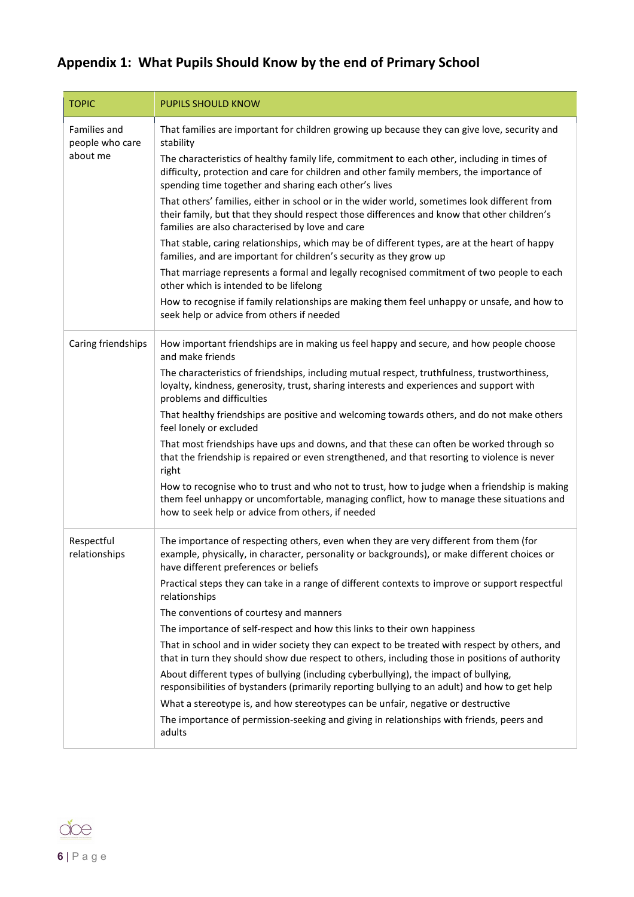## <span id="page-6-0"></span>**Appendix 1: What Pupils Should Know by the end of Primary School**

| <b>TOPIC</b>                    | <b>PUPILS SHOULD KNOW</b>                                                                                                                                                                                                                        |
|---------------------------------|--------------------------------------------------------------------------------------------------------------------------------------------------------------------------------------------------------------------------------------------------|
| Families and<br>people who care | That families are important for children growing up because they can give love, security and<br>stability                                                                                                                                        |
| about me                        | The characteristics of healthy family life, commitment to each other, including in times of<br>difficulty, protection and care for children and other family members, the importance of<br>spending time together and sharing each other's lives |
|                                 | That others' families, either in school or in the wider world, sometimes look different from<br>their family, but that they should respect those differences and know that other children's<br>families are also characterised by love and care  |
|                                 | That stable, caring relationships, which may be of different types, are at the heart of happy<br>families, and are important for children's security as they grow up                                                                             |
|                                 | That marriage represents a formal and legally recognised commitment of two people to each<br>other which is intended to be lifelong                                                                                                              |
|                                 | How to recognise if family relationships are making them feel unhappy or unsafe, and how to<br>seek help or advice from others if needed                                                                                                         |
| Caring friendships              | How important friendships are in making us feel happy and secure, and how people choose<br>and make friends                                                                                                                                      |
|                                 | The characteristics of friendships, including mutual respect, truthfulness, trustworthiness,<br>loyalty, kindness, generosity, trust, sharing interests and experiences and support with<br>problems and difficulties                            |
|                                 | That healthy friendships are positive and welcoming towards others, and do not make others<br>feel lonely or excluded                                                                                                                            |
|                                 | That most friendships have ups and downs, and that these can often be worked through so<br>that the friendship is repaired or even strengthened, and that resorting to violence is never<br>right                                                |
|                                 | How to recognise who to trust and who not to trust, how to judge when a friendship is making<br>them feel unhappy or uncomfortable, managing conflict, how to manage these situations and<br>how to seek help or advice from others, if needed   |
| Respectful<br>relationships     | The importance of respecting others, even when they are very different from them (for<br>example, physically, in character, personality or backgrounds), or make different choices or<br>have different preferences or beliefs                   |
|                                 | Practical steps they can take in a range of different contexts to improve or support respectful<br>relationships                                                                                                                                 |
|                                 | The conventions of courtesy and manners                                                                                                                                                                                                          |
|                                 | The importance of self-respect and how this links to their own happiness                                                                                                                                                                         |
|                                 | That in school and in wider society they can expect to be treated with respect by others, and<br>that in turn they should show due respect to others, including those in positions of authority                                                  |
|                                 | About different types of bullying (including cyberbullying), the impact of bullying,<br>responsibilities of bystanders (primarily reporting bullying to an adult) and how to get help                                                            |
|                                 | What a stereotype is, and how stereotypes can be unfair, negative or destructive                                                                                                                                                                 |
|                                 | The importance of permission-seeking and giving in relationships with friends, peers and<br>adults                                                                                                                                               |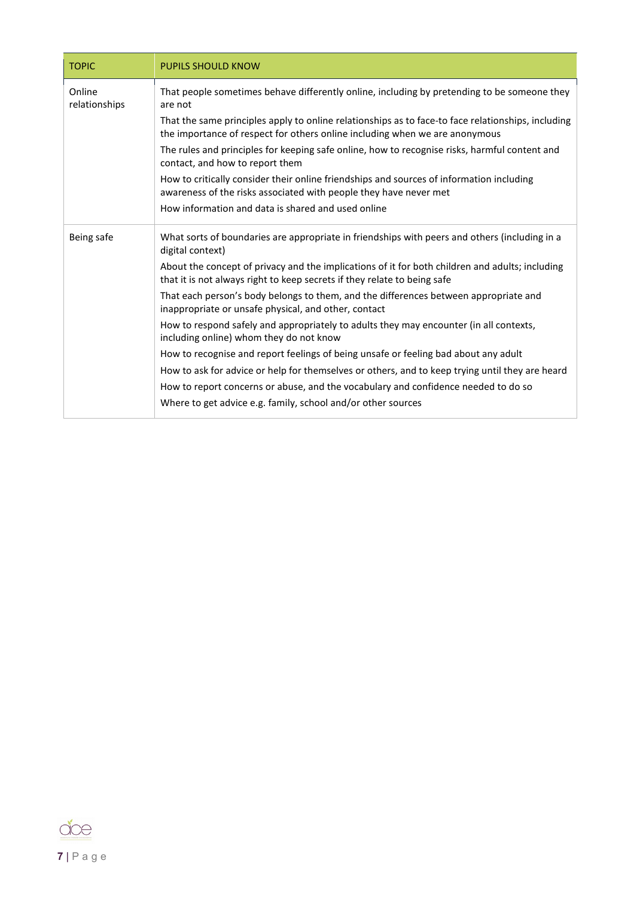| <b>TOPIC</b>            | <b>PUPILS SHOULD KNOW</b>                                                                                                                                                         |
|-------------------------|-----------------------------------------------------------------------------------------------------------------------------------------------------------------------------------|
| Online<br>relationships | That people sometimes behave differently online, including by pretending to be someone they<br>are not                                                                            |
|                         | That the same principles apply to online relationships as to face-to face relationships, including<br>the importance of respect for others online including when we are anonymous |
|                         | The rules and principles for keeping safe online, how to recognise risks, harmful content and<br>contact, and how to report them                                                  |
|                         | How to critically consider their online friendships and sources of information including<br>awareness of the risks associated with people they have never met                     |
|                         | How information and data is shared and used online                                                                                                                                |
| Being safe              | What sorts of boundaries are appropriate in friendships with peers and others (including in a<br>digital context)                                                                 |
|                         | About the concept of privacy and the implications of it for both children and adults; including<br>that it is not always right to keep secrets if they relate to being safe       |
|                         | That each person's body belongs to them, and the differences between appropriate and<br>inappropriate or unsafe physical, and other, contact                                      |
|                         | How to respond safely and appropriately to adults they may encounter (in all contexts,<br>including online) whom they do not know                                                 |
|                         | How to recognise and report feelings of being unsafe or feeling bad about any adult                                                                                               |
|                         | How to ask for advice or help for themselves or others, and to keep trying until they are heard                                                                                   |
|                         | How to report concerns or abuse, and the vocabulary and confidence needed to do so                                                                                                |
|                         | Where to get advice e.g. family, school and/or other sources                                                                                                                      |

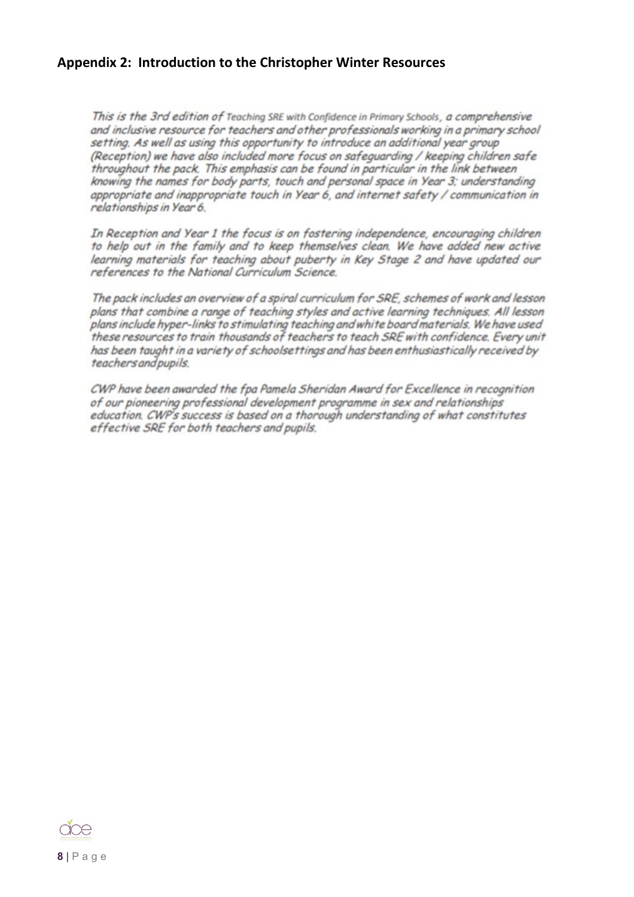#### <span id="page-8-0"></span>**Appendix 2: Introduction to the Christopher Winter Resources**

This is the 3rd edition of Teaching SRE with Confidence in Primary Schools, a comprehensive and inclusive resource for teachers and other professionals working in a primary school setting. As well as using this opportunity to introduce an additional year group (Reception) we have also included more focus on safeguarding / keeping children safe throughout the pack. This emphasis can be found in particular in the link between knowing the names for body parts, touch and personal space in Year 3; understanding appropriate and inappropriate touch in Year 6, and internet safety / communication in relationships in Year 6.

In Reception and Year 1 the focus is on fostering independence, encouraging children to help out in the family and to keep themselves clean. We have added new active learning materials for teaching about puberty in Key Stage 2 and have updated our references to the National Curriculum Science.

The pack includes an overview of a spiral curriculum for SRE, schemes of work and lesson plans that combine a range of teaching styles and active learning techniques. All lesson plans include hyper-links to stimulating teaching and white board materials. We have used these resources to train thousands of teachers to teach SRE with confidence. Every unit has been taught in a variety of schoolsettings and has been enthusiastically received by teachers and pupils.

CWP have been awarded the fpa Pamela Sheridan Award for Excellence in recognition of our pioneering professional development programme in sex and relationships education. CWP's success is based on a thorough understanding of what constitutes effective SRE for both teachers and pupils.

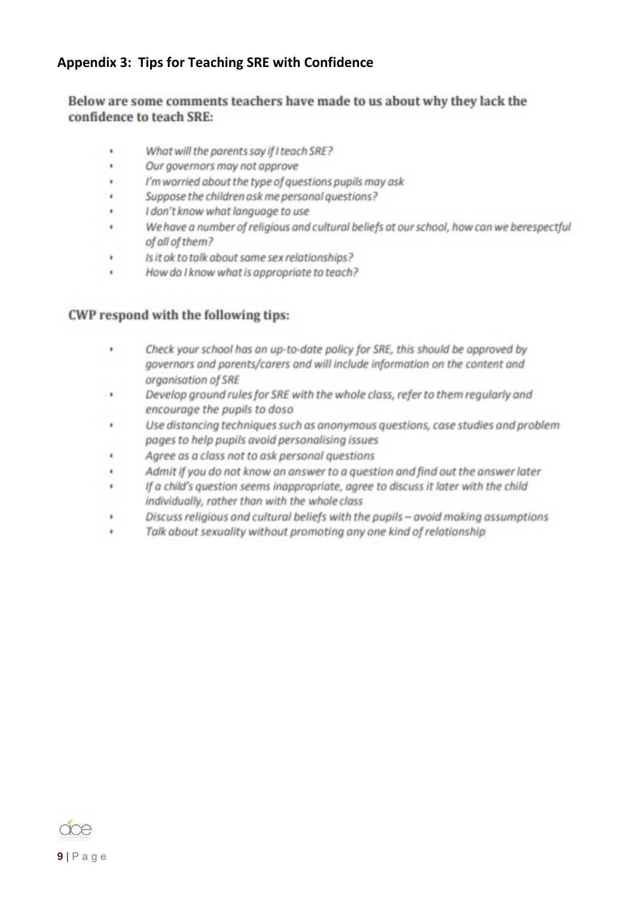### <span id="page-9-0"></span>**Appendix 3: Tips for Teaching SRE with Confidence**

#### Below are some comments teachers have made to us about why they lack the confidence to teach SRE:

- What will the parents say if I teach SRE? ¥
- $\blacksquare$ Our governors may not approve
- I'm worried about the type of questions pupils may ask ŧ
- ¥ Suppose the children ask me personal questions?
- I don't know what language to use  $\blacksquare$
- ï We have a number of religious and cultural beliefs at our school, how can we berespectful of all of them?
- Is it ok to talk about same sex relationships? ٠
- How do I know what is appropriate to teach? ¥

#### CWP respond with the following tips:

- Check your school has an up-to-date policy for SRE, this should be approved by ٠ governors and parents/carers and will include information on the content and organisation of SRE
- Develop ground rules for SRE with the whole class, refer to them regularly and  $\blacksquare$ encourage the pupils to doso
- $\bullet$ Use distancing techniques such as anonymous questions, case studies and problem pages to help pupils avoid personalising issues
- $\begin{array}{c} \bullet \\ \bullet \end{array}$ Agree as a class not to ask personal questions
- Admit if you do not know an answer to a question and find out the answer later ٠
- If a child's question seems inappropriate, agree to discuss it later with the child i. individually, rather than with the whole class
- Discuss religious and cultural beliefs with the pupils avoid making assumptions ŧ
- Talk about sexuality without promoting any one kind of relationship ä

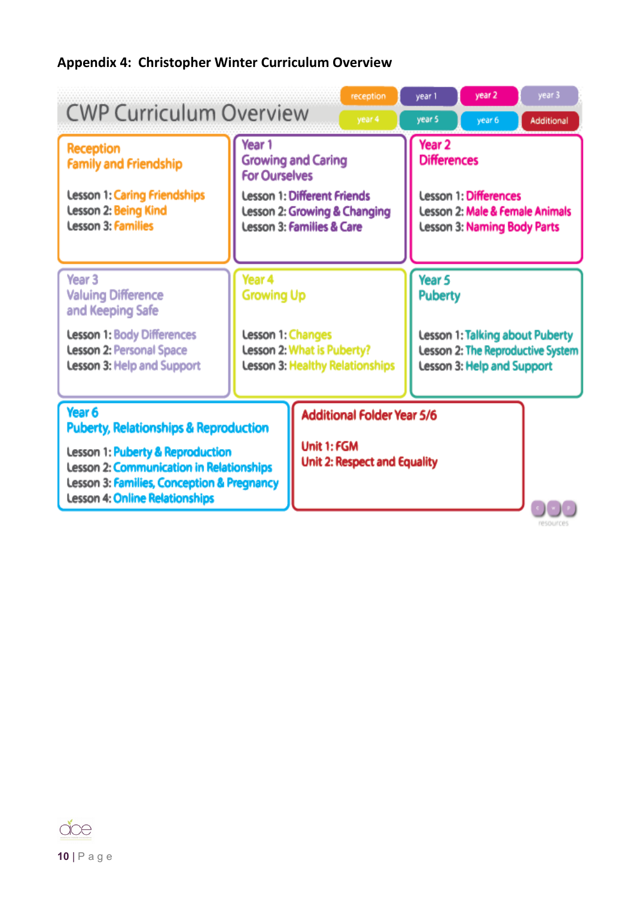## <span id="page-10-0"></span>**Appendix 4: Christopher Winter Curriculum Overview**

| <b>CWP Curriculum Overview</b>                                                                                                                                                                                                               |                                                                                                                                                                           | reception<br>year 4                                                                     | year 1<br>year 5                                                                                                                                            | year 2<br>year 6           | year 3<br>Additional                                                 |
|----------------------------------------------------------------------------------------------------------------------------------------------------------------------------------------------------------------------------------------------|---------------------------------------------------------------------------------------------------------------------------------------------------------------------------|-----------------------------------------------------------------------------------------|-------------------------------------------------------------------------------------------------------------------------------------------------------------|----------------------------|----------------------------------------------------------------------|
| <b>Reception</b><br><b>Family and Friendship</b><br><b>Lesson 1: Caring Friendships</b><br>Lesson 2: Being Kind<br><b>Lesson 3: Families</b>                                                                                                 | Year 1<br><b>Growing and Caring</b><br><b>For Ourselves</b><br><b>Lesson 1: Different Friends</b><br>Lesson 2: Growing & Changing<br><b>Lesson 3: Families &amp; Care</b> |                                                                                         | Year <sub>2</sub><br><b>Differences</b><br><b>Lesson 1: Differences</b><br><b>Lesson 2: Male &amp; Female Animals</b><br><b>Lesson 3: Naming Body Parts</b> |                            |                                                                      |
| Year <sub>3</sub><br><b>Valuing Difference</b><br>and Keeping Safe<br><b>Lesson 1: Body Differences</b><br><b>Lesson 2: Personal Space</b><br>Lesson 3: Help and Support                                                                     | Year 4<br><b>Growing Up</b><br>Lesson 1: Changes<br>Lesson 2: What is Puberty?<br>Lesson 3: Healthy Relationships                                                         |                                                                                         | Year <sub>5</sub><br><b>Puberty</b>                                                                                                                         | Lesson 3: Help and Support | Lesson 1: Talking about Puberty<br>Lesson 2: The Reproductive System |
| Year 6<br><b>Puberty, Relationships &amp; Reproduction</b><br><b>Lesson 1: Puberty &amp; Reproduction</b><br>Lesson 2: Communication in Relationships<br>Lesson 3: Families, Conception & Pregnancy<br><b>Lesson 4: Online Relationships</b> |                                                                                                                                                                           | <b>Additional Folder Year 5/6</b><br>Unit 1: FGM<br><b>Unit 2: Respect and Equality</b> |                                                                                                                                                             |                            |                                                                      |

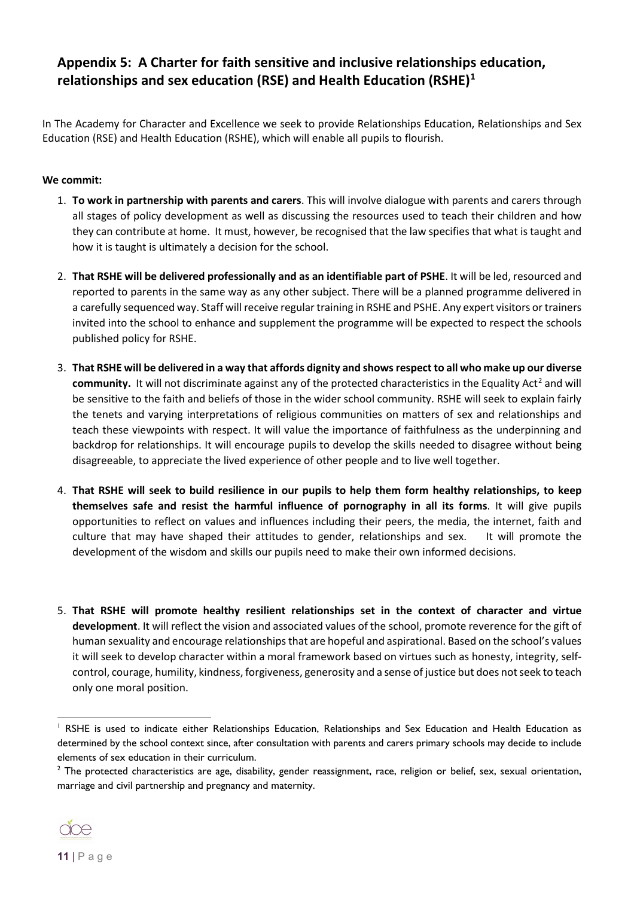### <span id="page-11-0"></span>**Appendix 5: A Charter for faith sensitive and inclusive relationships education, relationships and sex education (RSE) and Health Education (RSHE)[1](#page-11-1)**

In The Academy for Character and Excellence we seek to provide Relationships Education, Relationships and Sex Education (RSE) and Health Education (RSHE), which will enable all pupils to flourish.

#### **We commit:**

- 1. **To work in partnership with parents and carers**. This will involve dialogue with parents and carers through all stages of policy development as well as discussing the resources used to teach their children and how they can contribute at home. It must, however, be recognised that the law specifies that what is taught and how it is taught is ultimately a decision for the school.
- 2. **That RSHE will be delivered professionally and as an identifiable part of PSHE**. It will be led, resourced and reported to parents in the same way as any other subject. There will be a planned programme delivered in a carefully sequenced way. Staff will receive regular training in RSHE and PSHE. Any expert visitors or trainers invited into the school to enhance and supplement the programme will be expected to respect the schools published policy for RSHE.
- 3. **That RSHE will be delivered in a way that affords dignity and shows respect to all who make up our diverse community.** It will not discriminate against any of the protected characteristics in the Equality Act<sup>[2](#page-11-2)</sup> and will be sensitive to the faith and beliefs of those in the wider school community. RSHE will seek to explain fairly the tenets and varying interpretations of religious communities on matters of sex and relationships and teach these viewpoints with respect. It will value the importance of faithfulness as the underpinning and backdrop for relationships. It will encourage pupils to develop the skills needed to disagree without being disagreeable, to appreciate the lived experience of other people and to live well together.
- 4. **That RSHE will seek to build resilience in our pupils to help them form healthy relationships, to keep themselves safe and resist the harmful influence of pornography in all its forms**. It will give pupils opportunities to reflect on values and influences including their peers, the media, the internet, faith and culture that may have shaped their attitudes to gender, relationships and sex. It will promote the development of the wisdom and skills our pupils need to make their own informed decisions.
- 5. **That RSHE will promote healthy resilient relationships set in the context of character and virtue development**. It will reflect the vision and associated values of the school, promote reverence for the gift of human sexuality and encourage relationships that are hopeful and aspirational. Based on the school's values it will seek to develop character within a moral framework based on virtues such as honesty, integrity, selfcontrol, courage, humility, kindness, forgiveness, generosity and a sense of justice but does not seek to teach only one moral position.

<span id="page-11-2"></span>marriage and civil partnership and pregnancy and maternity.



<span id="page-11-1"></span><sup>&</sup>lt;sup>1</sup> RSHE is used to indicate either Relationships Education, Relationships and Sex Education and Health Education as determined by the school context since, after consultation with parents and carers primary schools may decide to include elements of sex education in their curriculum.<br><sup>2</sup> The protected characteristics are age, disability, gender reassignment, race, religion or belief, sex, sexual orientation,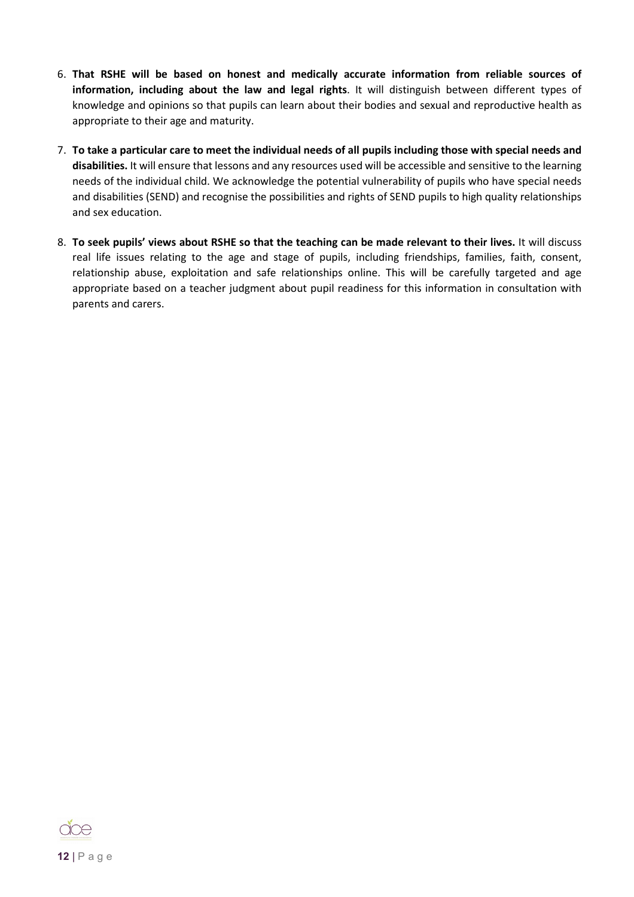- 6. **That RSHE will be based on honest and medically accurate information from reliable sources of information, including about the law and legal rights**. It will distinguish between different types of knowledge and opinions so that pupils can learn about their bodies and sexual and reproductive health as appropriate to their age and maturity.
- 7. **To take a particular care to meet the individual needs of all pupils including those with special needs and disabilities.** It will ensure that lessons and any resources used will be accessible and sensitive to the learning needs of the individual child. We acknowledge the potential vulnerability of pupils who have special needs and disabilities (SEND) and recognise the possibilities and rights of SEND pupils to high quality relationships and sex education.
- 8. **To seek pupils' views about RSHE so that the teaching can be made relevant to their lives.** It will discuss real life issues relating to the age and stage of pupils, including friendships, families, faith, consent, relationship abuse, exploitation and safe relationships online. This will be carefully targeted and age appropriate based on a teacher judgment about pupil readiness for this information in consultation with parents and carers.